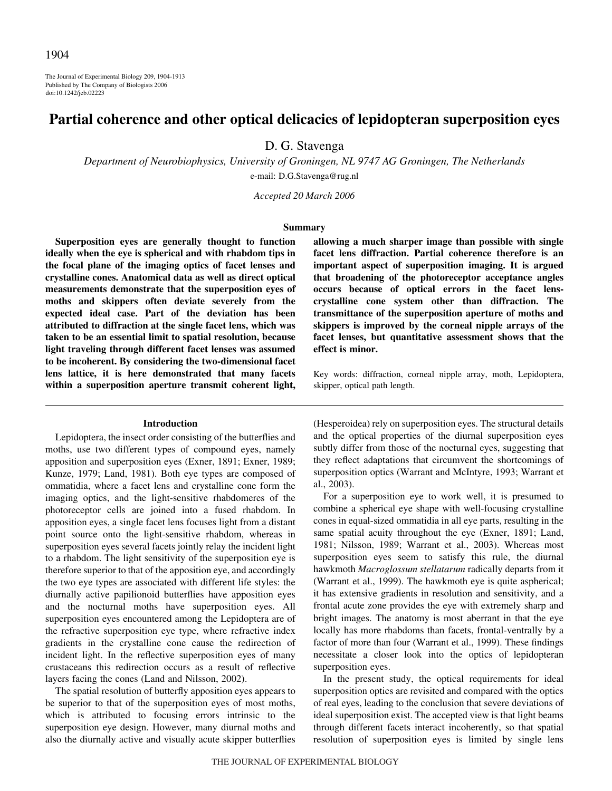The Journal of Experimental Biology 209, 1904-1913 Published by The Company of Biologists 2006 doi:10.1242/jeb.02223

# **Partial coherence and other optical delicacies of lepidopteran superposition eyes**

D. G. Stavenga

*Department of Neurobiophysics, University of Groningen, NL 9747 AG Groningen, The Netherlands*

e-mail: D.G.Stavenga@rug.nl

*Accepted 20 March 2006*

#### **Summary**

**Superposition eyes are generally thought to function ideally when the eye is spherical and with rhabdom tips in the focal plane of the imaging optics of facet lenses and crystalline cones. Anatomical data as well as direct optical measurements demonstrate that the superposition eyes of moths and skippers often deviate severely from the expected ideal case. Part of the deviation has been attributed to diffraction at the single facet lens, which was taken to be an essential limit to spatial resolution, because light traveling through different facet lenses was assumed to be incoherent. By considering the two-dimensional facet lens lattice, it is here demonstrated that many facets within a superposition aperture transmit coherent light,**

#### **Introduction**

Lepidoptera, the insect order consisting of the butterflies and moths, use two different types of compound eyes, namely apposition and superposition eyes (Exner, 1891; Exner, 1989; Kunze, 1979; Land, 1981). Both eye types are composed of ommatidia, where a facet lens and crystalline cone form the imaging optics, and the light-sensitive rhabdomeres of the photoreceptor cells are joined into a fused rhabdom. In apposition eyes, a single facet lens focuses light from a distant point source onto the light-sensitive rhabdom, whereas in superposition eyes several facets jointly relay the incident light to a rhabdom. The light sensitivity of the superposition eye is therefore superior to that of the apposition eye, and accordingly the two eye types are associated with different life styles: the diurnally active papilionoid butterflies have apposition eyes and the nocturnal moths have superposition eyes. All superposition eyes encountered among the Lepidoptera are of the refractive superposition eye type, where refractive index gradients in the crystalline cone cause the redirection of incident light. In the reflective superposition eyes of many crustaceans this redirection occurs as a result of reflective layers facing the cones (Land and Nilsson, 2002).

The spatial resolution of butterfly apposition eyes appears to be superior to that of the superposition eyes of most moths, which is attributed to focusing errors intrinsic to the superposition eye design. However, many diurnal moths and also the diurnally active and visually acute skipper butterflies

**allowing a much sharper image than possible with single facet lens diffraction. Partial coherence therefore is an important aspect of superposition imaging. It is argued that broadening of the photoreceptor acceptance angles occurs because of optical errors in the facet lenscrystalline cone system other than diffraction. The transmittance of the superposition aperture of moths and skippers is improved by the corneal nipple arrays of the facet lenses, but quantitative assessment shows that the effect is minor.** 

Key words: diffraction, corneal nipple array, moth, Lepidoptera, skipper, optical path length.

(Hesperoidea) rely on superposition eyes. The structural details and the optical properties of the diurnal superposition eyes subtly differ from those of the nocturnal eyes, suggesting that they reflect adaptations that circumvent the shortcomings of superposition optics (Warrant and McIntyre, 1993; Warrant et al., 2003).

For a superposition eye to work well, it is presumed to combine a spherical eye shape with well-focusing crystalline cones in equal-sized ommatidia in all eye parts, resulting in the same spatial acuity throughout the eye (Exner, 1891; Land, 1981; Nilsson, 1989; Warrant et al., 2003). Whereas most superposition eyes seem to satisfy this rule, the diurnal hawkmoth *Macroglossum stellatarum* radically departs from it (Warrant et al., 1999). The hawkmoth eye is quite aspherical; it has extensive gradients in resolution and sensitivity, and a frontal acute zone provides the eye with extremely sharp and bright images. The anatomy is most aberrant in that the eye locally has more rhabdoms than facets, frontal-ventrally by a factor of more than four (Warrant et al., 1999). These findings necessitate a closer look into the optics of lepidopteran superposition eyes.

In the present study, the optical requirements for ideal superposition optics are revisited and compared with the optics of real eyes, leading to the conclusion that severe deviations of ideal superposition exist. The accepted view is that light beams through different facets interact incoherently, so that spatial resolution of superposition eyes is limited by single lens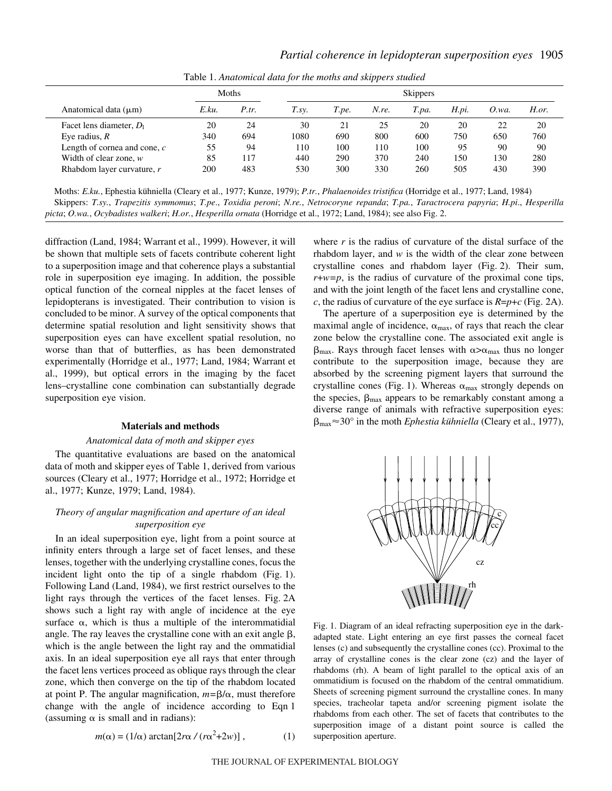|                                |       | Moths | <b>Skippers</b> |       |       |       |       |          |       |
|--------------------------------|-------|-------|-----------------|-------|-------|-------|-------|----------|-------|
| Anatomical data $(\mu m)$      | E.ku. | P.tr. | $T_{.SV.}$      | T.pe. | N.re. | T.pa. | H.pi. | $O.wa$ . | H.or. |
| Facet lens diameter, $D_1$     | 20    | 24    | 30              | 21    | 25    | 20    | 20    | 22       | 20    |
| Eye radius, $R$                | 340   | 694   | 1080            | 690   | 800   | 600   | 750   | 650      | 760   |
| Length of cornea and cone, $c$ | 55    | 94    | 10              | 100   | 110   | 100   | 95    | 90       | 90    |
| Width of clear zone, $w$       | 85    | 117   | 440             | 290   | 370   | 240   | 150   | 130      | 280   |
| Rhabdom layer curvature, r     | 200   | 483   | 530             | 300   | 330   | 260   | 505   | 430      | 390   |

Table 1. *Anatomical data for the moths and skippers studied* 

Moths: *E.ku.*, Ephestia kühniella (Cleary et al., 1977; Kunze, 1979); *P.tr.*, *Phalaenoides tristifica* (Horridge et al., 1977; Land, 1984) Skippers: *T.sy.*, *Trapezitis symmomus*; *T.pe*., *Toxidia peroni*; *N.re.*, *Netrocoryne repanda*; *T.pa.*, *Taractrocera papyria*; *H.pi*., *Hesperilla picta*; *O.wa.*, *Ocybadistes walkeri*; *H.or.*, *Hesperilla ornata* (Horridge et al., 1972; Land, 1984); see also Fig.·2.

diffraction (Land, 1984; Warrant et al., 1999). However, it will be shown that multiple sets of facets contribute coherent light to a superposition image and that coherence plays a substantial role in superposition eye imaging. In addition, the possible optical function of the corneal nipples at the facet lenses of lepidopterans is investigated. Their contribution to vision is concluded to be minor. A survey of the optical components that determine spatial resolution and light sensitivity shows that superposition eyes can have excellent spatial resolution, no worse than that of butterflies, as has been demonstrated experimentally (Horridge et al., 1977; Land, 1984; Warrant et al., 1999), but optical errors in the imaging by the facet lens–crystalline cone combination can substantially degrade superposition eye vision.

#### **Materials and methods**

### *Anatomical data of moth and skipper eyes*

The quantitative evaluations are based on the anatomical data of moth and skipper eyes of Table 1, derived from various sources (Cleary et al., 1977; Horridge et al., 1972; Horridge et al., 1977; Kunze, 1979; Land, 1984).

# *Theory of angular magnification and aperture of an ideal superposition eye*

In an ideal superposition eye, light from a point source at infinity enters through a large set of facet lenses, and these lenses, together with the underlying crystalline cones, focus the incident light onto the tip of a single rhabdom  $(Fig. 1)$ . Following Land (Land, 1984), we first restrict ourselves to the light rays through the vertices of the facet lenses. Fig. 2A shows such a light ray with angle of incidence at the eye surface  $\alpha$ , which is thus a multiple of the interommatidial angle. The ray leaves the crystalline cone with an exit angle  $\beta$ , which is the angle between the light ray and the ommatidial axis. In an ideal superposition eye all rays that enter through the facet lens vertices proceed as oblique rays through the clear zone, which then converge on the tip of the rhabdom located at point P. The angular magnification,  $m = \beta/\alpha$ , must therefore change with the angle of incidence according to Eqn 1 (assuming  $\alpha$  is small and in radians):

$$
m(\alpha) = (1/\alpha) \arctan[2r\alpha / (r\alpha^2 + 2w)], \qquad (1)
$$

where *r* is the radius of curvature of the distal surface of the rhabdom layer, and *w* is the width of the clear zone between crystalline cones and rhabdom layer (Fig. 2). Their sum, *r*+*w=p*, is the radius of curvature of the proximal cone tips, and with the joint length of the facet lens and crystalline cone, *c*, the radius of curvature of the eye surface is  $R=p+c$  (Fig. 2A).

The aperture of a superposition eye is determined by the maximal angle of incidence,  $\alpha_{\text{max}}$ , of rays that reach the clear zone below the crystalline cone. The associated exit angle is  $\beta_{\text{max}}$ . Rays through facet lenses with  $\alpha > \alpha_{\text{max}}$  thus no longer contribute to the superposition image, because they are absorbed by the screening pigment layers that surround the crystalline cones (Fig. 1). Whereas  $\alpha_{\text{max}}$  strongly depends on the species,  $\beta_{\text{max}}$  appears to be remarkably constant among a diverse range of animals with refractive superposition eyes:  $\beta_{\text{max}} \approx 30^{\circ}$  in the moth *Ephestia kühniella* (Cleary et al., 1977),



Fig. 1. Diagram of an ideal refracting superposition eye in the darkadapted state. Light entering an eye first passes the corneal facet lenses (c) and subsequently the crystalline cones (cc). Proximal to the array of crystalline cones is the clear zone (cz) and the layer of rhabdoms (rh). A beam of light parallel to the optical axis of an ommatidium is focused on the rhabdom of the central ommatidium. Sheets of screening pigment surround the crystalline cones. In many species, tracheolar tapeta and/or screening pigment isolate the rhabdoms from each other. The set of facets that contributes to the superposition image of a distant point source is called the superposition aperture.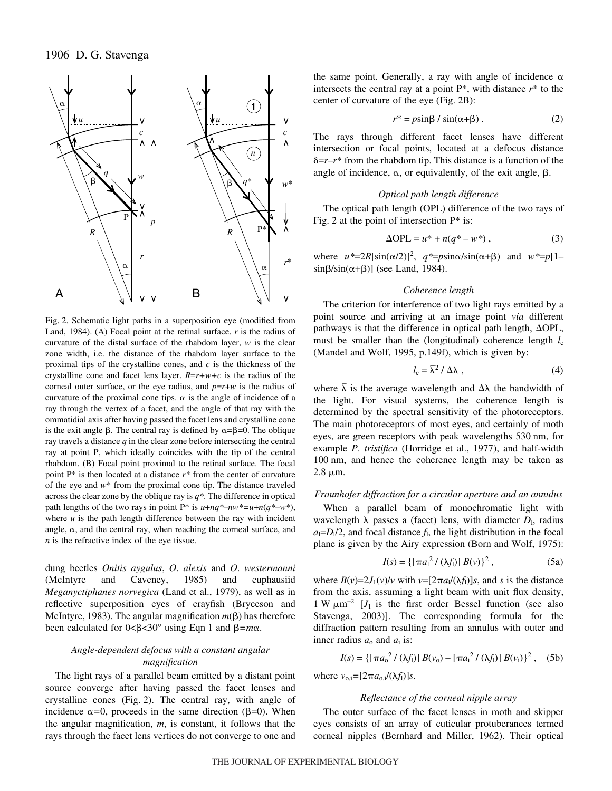

Fig. 2. Schematic light paths in a superposition eye (modified from Land, 1984). (A) Focal point at the retinal surface. *r* is the radius of curvature of the distal surface of the rhabdom layer, *w* is the clear zone width, i.e. the distance of the rhabdom layer surface to the proximal tips of the crystalline cones, and *c* is the thickness of the crystalline cone and facet lens layer.  $R=r+w+c$  is the radius of the corneal outer surface, or the eye radius, and  $p=r+w$  is the radius of curvature of the proximal cone tips.  $\alpha$  is the angle of incidence of a ray through the vertex of a facet, and the angle of that ray with the ommatidial axis after having passed the facet lens and crystalline cone is the exit angle  $\beta$ . The central ray is defined by  $\alpha = \beta = 0$ . The oblique ray travels a distance  $q$  in the clear zone before intersecting the central ray at point P, which ideally coincides with the tip of the central rhabdom. (B) Focal point proximal to the retinal surface. The focal point P\* is then located at a distance *r\** from the center of curvature of the eye and *w*\* from the proximal cone tip. The distance traveled across the clear zone by the oblique ray is *q\**. The difference in optical path lengths of the two rays in point  $P^*$  is  $u+nq^*-nw^*=u+n(q^*-w^*)$ , where  $u$  is the path length difference between the ray with incident angle,  $\alpha$ , and the central ray, when reaching the corneal surface, and *n* is the refractive index of the eye tissue.

dung beetles *Onitis aygulus*, *O*. *alexis* and *O*. *westermanni* (McIntyre and Caveney, 1985) and euphausiid *Meganyctiphanes norvegica* (Land et al., 1979), as well as in reflective superposition eyes of crayfish (Bryceson and McIntyre, 1983). The angular magnification  $m(\beta)$  has therefore been calculated for  $0 < \beta < 30^\circ$  using Eqn 1 and  $\beta = m\alpha$ .

# *Angle-dependent defocus with a constant angular magnification*

The light rays of a parallel beam emitted by a distant point source converge after having passed the facet lenses and crystalline cones (Fig. 2). The central ray, with angle of incidence  $\alpha$ =0, proceeds in the same direction ( $\beta$ =0). When the angular magnification, *m*, is constant, it follows that the rays through the facet lens vertices do not converge to one and

the same point. Generally, a ray with angle of incidence  $\alpha$ intersects the central ray at a point  $P^*$ , with distance  $r^*$  to the center of curvature of the eye  $(Fig. 2B)$ :

$$
r^* = p\sin\beta / \sin(\alpha + \beta). \tag{2}
$$

The rays through different facet lenses have different intersection or focal points, located at a defocus distance  $\delta = r - r^*$  from the rhabdom tip. This distance is a function of the angle of incidence,  $\alpha$ , or equivalently, of the exit angle,  $\beta$ .

## *Optical path length difference*

The optical path length (OPL) difference of the two rays of Fig. 2 at the point of intersection  $P^*$  is:

$$
\Delta OPL = u^* + n(q^* - w^*), \qquad (3)
$$

where  $u^* = 2R[\sin(\alpha/2)]^2$ ,  $q^* = p\sin(\alpha/2)\sin(\alpha+\beta)$  and  $w^* = p[1-\alpha/2]$  $\sin\beta/\sin(\alpha+\beta)$ ] (see Land, 1984).

## *Coherence length*

The criterion for interference of two light rays emitted by a point source and arriving at an image point *via* different pathways is that the difference in optical path length,  $\Delta$ OPL, must be smaller than the (longitudinal) coherence length  $l_c$ (Mandel and Wolf, 1995, p.149f), which is given by:

$$
l_{\rm c} = \overline{\lambda}^2 / \Delta \lambda \tag{4}
$$

where  $\overline{\lambda}$  is the average wavelength and  $\Delta\lambda$  the bandwidth of the light. For visual systems, the coherence length is determined by the spectral sensitivity of the photoreceptors. The main photoreceptors of most eyes, and certainly of moth eyes, are green receptors with peak wavelengths 530 nm, for example *P*. *tristifica* (Horridge et al., 1977), and half-width 100 nm, and hence the coherence length may be taken as  $2.8~\mu m$ .

# *Fraunhofer diffraction for a circular aperture and an annulus*

When a parallel beam of monochromatic light with wavelength  $\lambda$  passes a (facet) lens, with diameter  $D<sub>1</sub>$ , radius  $a_1 = D_1/2$ , and focal distance  $f_1$ , the light distribution in the focal plane is given by the Airy expression (Born and Wolf, 1975):

$$
I(s) = \{ [\pi a_1^2 / (\lambda f_1)] B(v) \}^2,
$$
 (5a)

where  $B(v)=2J_1(v)/v$  with  $v=[2\pi a_1/(\lambda f_1)]s$ , and *s* is the distance from the axis, assuming a light beam with unit flux density,  $1 \text{ W } \mu \text{m}^{-2}$  [ $J_1$  is the first order Bessel function (see also Stavenga, 2003)]. The corresponding formula for the diffraction pattern resulting from an annulus with outer and inner radius  $a_0$  and  $a_i$  is:

$$
I(s) = \{ \left[ \pi a_0^2 / (\lambda f_1) \right] B(v_0) - \left[ \pi a_1^2 / (\lambda f_1) \right] B(v_1) \}^2, \quad (5b)
$$

where  $v_{o,i} = [2\pi a_{o,i}/(\lambda f_i)]s$ .

## *Reflectance of the corneal nipple array*

The outer surface of the facet lenses in moth and skipper eyes consists of an array of cuticular protuberances termed corneal nipples (Bernhard and Miller, 1962). Their optical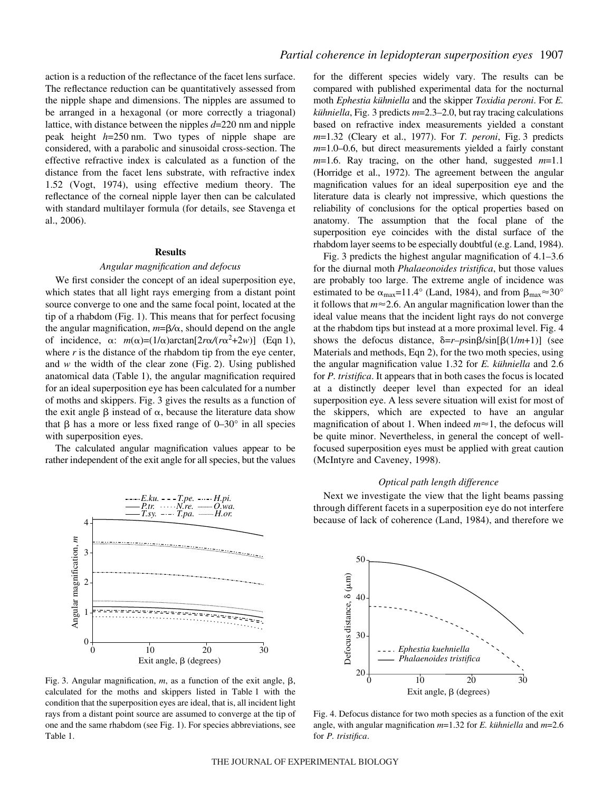action is a reduction of the reflectance of the facet lens surface. The reflectance reduction can be quantitatively assessed from the nipple shape and dimensions. The nipples are assumed to be arranged in a hexagonal (or more correctly a triagonal) lattice, with distance between the nipples  $d=220$  nm and nipple peak height *h*=250 nm. Two types of nipple shape are considered, with a parabolic and sinusoidal cross-section. The effective refractive index is calculated as a function of the distance from the facet lens substrate, with refractive index 1.52 (Vogt, 1974), using effective medium theory. The reflectance of the corneal nipple layer then can be calculated with standard multilayer formula (for details, see Stavenga et al., 2006).

### **Results**

### *Angular magnification and defocus*

We first consider the concept of an ideal superposition eye, which states that all light rays emerging from a distant point source converge to one and the same focal point, located at the tip of a rhabdom (Fig. 1). This means that for perfect focusing the angular magnification,  $m = \beta/\alpha$ , should depend on the angle of incidence,  $\alpha$ :  $m(\alpha) = (1/\alpha) \arctan[2r\alpha/(r\alpha^2 + 2w)]$  (Eqn 1), where *r* is the distance of the rhabdom tip from the eye center, and  $w$  the width of the clear zone (Fig. 2). Using published anatomical data (Table 1), the angular magnification required for an ideal superposition eye has been calculated for a number of moths and skippers. Fig. 3 gives the results as a function of the exit angle  $\beta$  instead of  $\alpha$ , because the literature data show that  $\beta$  has a more or less fixed range of 0–30° in all species with superposition eyes.

The calculated angular magnification values appear to be rather independent of the exit angle for all species, but the values



Fig. 3. Angular magnification,  $m$ , as a function of the exit angle,  $\beta$ , calculated for the moths and skippers listed in Table 1 with the condition that the superposition eyes are ideal, that is, all incident light rays from a distant point source are assumed to converge at the tip of one and the same rhabdom (see Fig. 1). For species abbreviations, see Table 1.

for the different species widely vary. The results can be compared with published experimental data for the nocturnal moth *Ephestia kühniella* and the skipper *Toxidia peroni*. For *E. kühniella*, Fig. 3 predicts *m*=2.3–2.0, but ray tracing calculations based on refractive index measurements yielded a constant *m*=1.32 (Cleary et al., 1977). For *T. peroni*, Fig. 3 predicts *m*=1.0–0.6, but direct measurements yielded a fairly constant *m*=1.6. Ray tracing, on the other hand, suggested *m*=1.1 (Horridge et al., 1972). The agreement between the angular magnification values for an ideal superposition eye and the literature data is clearly not impressive, which questions the reliability of conclusions for the optical properties based on anatomy. The assumption that the focal plane of the superposition eye coincides with the distal surface of the rhabdom layer seems to be especially doubtful (e.g. Land, 1984).

Fig. 3 predicts the highest angular magnification of 4.1–3.6 for the diurnal moth *Phalaeonoides tristifica*, but those values are probably too large. The extreme angle of incidence was estimated to be  $\alpha_{\text{max}}$ =11.4° (Land, 1984), and from  $\beta_{\text{max}}$ ≈30° it follows that  $m \approx 2.6$ . An angular magnification lower than the ideal value means that the incident light rays do not converge at the rhabdom tips but instead at a more proximal level. Fig. 4 shows the defocus distance,  $\delta = r - psin\beta/sin[\beta(1/m+1)]$  (see Materials and methods, Eqn 2), for the two moth species, using the angular magnification value 1.32 for *E. kühniella* and 2.6 for *P. tristifica*. It appears that in both cases the focus is located at a distinctly deeper level than expected for an ideal superposition eye. A less severe situation will exist for most of the skippers, which are expected to have an angular magnification of about 1. When indeed  $m \approx 1$ , the defocus will be quite minor. Nevertheless, in general the concept of wellfocused superposition eyes must be applied with great caution (McIntyre and Caveney, 1998).

#### *Optical path length difference*

Next we investigate the view that the light beams passing through different facets in a superposition eye do not interfere because of lack of coherence (Land, 1984), and therefore we



Fig. 4. Defocus distance for two moth species as a function of the exit angle, with angular magnification *m*=1.32 for *E. kühniella* and *m*=2.6 for *P. tristifica*.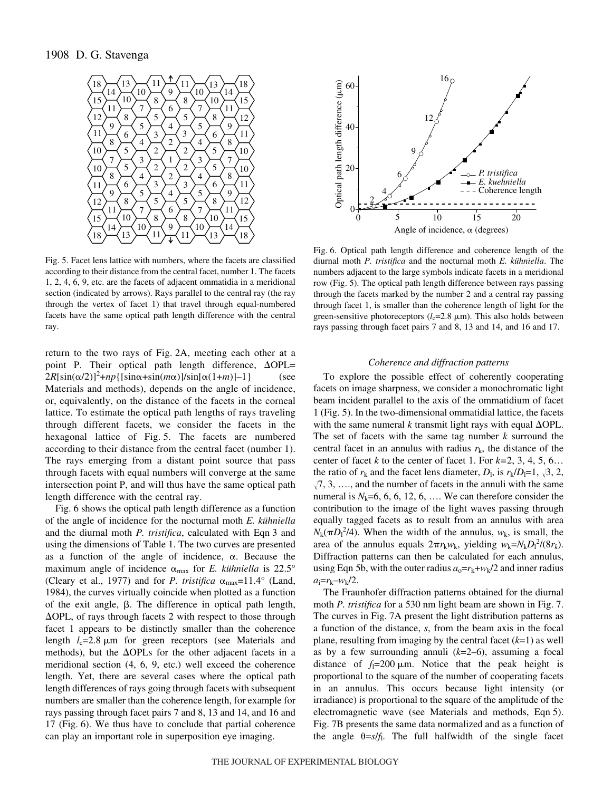

Fig. 5. Facet lens lattice with numbers, where the facets are classified according to their distance from the central facet, number 1. The facets 1, 2, 4, 6, 9, etc. are the facets of adjacent ommatidia in a meridional section (indicated by arrows). Rays parallel to the central ray (the ray through the vertex of facet 1) that travel through equal-numbered facets have the same optical path length difference with the central ray.

return to the two rays of Fig. 2A, meeting each other at a point P. Their optical path length difference,  $\Delta$ OPL=  $2R[\sin(\alpha/2)]^2 + np\{[\sin\alpha + \sin(m\alpha)]/\sin[\alpha(1+m)]-1\}$  (see Materials and methods), depends on the angle of incidence, or, equivalently, on the distance of the facets in the corneal lattice. To estimate the optical path lengths of rays traveling through different facets, we consider the facets in the hexagonal lattice of Fig. 5. The facets are numbered according to their distance from the central facet (number 1). The rays emerging from a distant point source that pass through facets with equal numbers will converge at the same intersection point P, and will thus have the same optical path length difference with the central ray.

Fig. 6 shows the optical path length difference as a function of the angle of incidence for the nocturnal moth *E. kühniella* and the diurnal moth *P. tristifica*, calculated with Eqn 3 and using the dimensions of Table 1. The two curves are presented as a function of the angle of incidence,  $\alpha$ . Because the maximum angle of incidence  $\alpha_{\text{max}}$  for *E. kühniella* is 22.5° (Cleary et al., 1977) and for *P. tristifica*  $\alpha_{\text{max}} = 11.4^{\circ}$  (Land, 1984), the curves virtually coincide when plotted as a function of the exit angle,  $\beta$ . The difference in optical path length,  $\Delta$ OPL, of rays through facets 2 with respect to those through facet 1 appears to be distinctly smaller than the coherence length  $l_c$ =2.8  $\mu$ m for green receptors (see Materials and methods), but the  $\triangle$ OPLs for the other adjacent facets in a meridional section (4, 6, 9, etc.) well exceed the coherence length. Yet, there are several cases where the optical path length differences of rays going through facets with subsequent numbers are smaller than the coherence length, for example for rays passing through facet pairs 7 and 8, 13 and 14, and 16 and 17 (Fig. 6). We thus have to conclude that partial coherence can play an important role in superposition eye imaging.



Fig. 6. Optical path length difference and coherence length of the diurnal moth *P. tristifica* and the nocturnal moth *E. kühniella*. The numbers adjacent to the large symbols indicate facets in a meridional row (Fig. 5). The optical path length difference between rays passing through the facets marked by the number 2 and a central ray passing through facet 1, is smaller than the coherence length of light for the green-sensitive photoreceptors  $(l_c=2.8 \mu m)$ . This also holds between rays passing through facet pairs 7 and 8, 13 and 14, and 16 and 17.

#### *Coherence and diffraction patterns*

To explore the possible effect of coherently cooperating facets on image sharpness, we consider a monochromatic light beam incident parallel to the axis of the ommatidium of facet 1 (Fig.·5). In the two-dimensional ommatidial lattice, the facets with the same numeral  $k$  transmit light rays with equal  $\Delta$ OPL. The set of facets with the same tag number *k* surround the central facet in an annulus with radius  $r_k$ , the distance of the center of facet  $k$  to the center of facet 1. For  $k=2, 3, 4, 5, 6...$ the ratio of  $r_k$  and the facet lens diameter,  $D_l$ , is  $r_k/D_l=1$ ,  $\sqrt{3}$ , 2,  $\sqrt{7}$ , 3, ..., and the number of facets in the annuli with the same numeral is  $N_k=6, 6, 6, 12, 6, \ldots$  We can therefore consider the contribution to the image of the light waves passing through equally tagged facets as to result from an annulus with area  $N_k(\pi D_1^2/4)$ . When the width of the annulus,  $w_k$ , is small, the area of the annulus equals  $2\pi r_k w_k$ , yielding  $w_k = N_k D_l^2/(8r_k)$ . Diffraction patterns can then be calculated for each annulus, using Eqn 5b, with the outer radius  $a_0 = r_k + w_k/2$  and inner radius  $a_i = r_k - w_k/2$ .

The Fraunhofer diffraction patterns obtained for the diurnal moth *P. tristifica* for a 530 nm light beam are shown in Fig. 7. The curves in Fig. 7A present the light distribution patterns as a function of the distance, *s*, from the beam axis in the focal plane, resulting from imaging by the central facet (*k*=1) as well as by a few surrounding annuli (*k*=2–6), assuming a focal distance of  $f_1=200 \mu m$ . Notice that the peak height is proportional to the square of the number of cooperating facets in an annulus. This occurs because light intensity (or irradiance) is proportional to the square of the amplitude of the electromagnetic wave (see Materials and methods, Eqn 5). Fig. 7B presents the same data normalized and as a function of the angle  $\theta = s/f_1$ . The full halfwidth of the single facet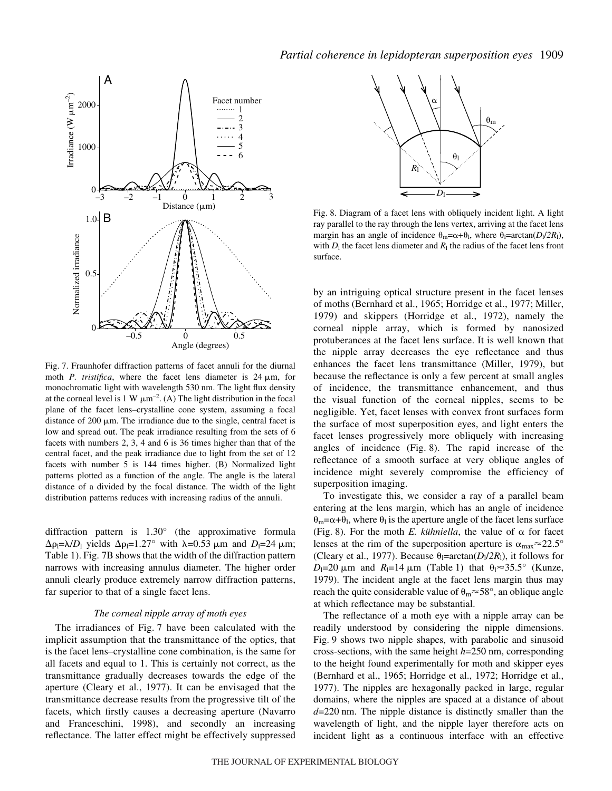

Fig. 7. Fraunhofer diffraction patterns of facet annuli for the diurnal moth *P. tristifica*, where the facet lens diameter is  $24 \mu m$ , for monochromatic light with wavelength 530 nm. The light flux density at the corneal level is 1 W  $\mu$ m<sup>-2</sup>. (A) The light distribution in the focal plane of the facet lens–crystalline cone system, assuming a focal distance of 200  $\mu$ m. The irradiance due to the single, central facet is low and spread out. The peak irradiance resulting from the sets of 6 facets with numbers 2, 3, 4 and 6 is 36 times higher than that of the central facet, and the peak irradiance due to light from the set of 12 facets with number 5 is 144 times higher. (B) Normalized light patterns plotted as a function of the angle. The angle is the lateral distance of a divided by the focal distance. The width of the light distribution patterns reduces with increasing radius of the annuli.

diffraction pattern is 1.30° (the approximative formula  $\Delta \rho_1 = \lambda/D_1$  yields  $\Delta \rho_1 = 1.27^\circ$  with  $\lambda = 0.53 \mu$ m and  $D_1 = 24 \mu$ m; Table 1). Fig. 7B shows that the width of the diffraction pattern narrows with increasing annulus diameter. The higher order annuli clearly produce extremely narrow diffraction patterns, far superior to that of a single facet lens.

### *The corneal nipple array of moth eyes*

The irradiances of Fig. 7 have been calculated with the implicit assumption that the transmittance of the optics, that is the facet lens–crystalline cone combination, is the same for all facets and equal to 1. This is certainly not correct, as the transmittance gradually decreases towards the edge of the aperture (Cleary et al., 1977). It can be envisaged that the transmittance decrease results from the progressive tilt of the facets, which firstly causes a decreasing aperture (Navarro and Franceschini, 1998), and secondly an increasing reflectance. The latter effect might be effectively suppressed



Fig. 8. Diagram of a facet lens with obliquely incident light. A light ray parallel to the ray through the lens vertex, arriving at the facet lens margin has an angle of incidence  $\theta_m = \alpha + \theta_l$ , where  $\theta_l = \arctan(D_l/2R_l)$ , with  $D_1$  the facet lens diameter and  $R_1$  the radius of the facet lens front surface.

by an intriguing optical structure present in the facet lenses of moths (Bernhard et al., 1965; Horridge et al., 1977; Miller, 1979) and skippers (Horridge et al., 1972), namely the corneal nipple array, which is formed by nanosized protuberances at the facet lens surface. It is well known that the nipple array decreases the eye reflectance and thus enhances the facet lens transmittance (Miller, 1979), but because the reflectance is only a few percent at small angles of incidence, the transmittance enhancement, and thus the visual function of the corneal nipples, seems to be negligible. Yet, facet lenses with convex front surfaces form the surface of most superposition eyes, and light enters the facet lenses progressively more obliquely with increasing angles of incidence  $(Fig. 8)$ . The rapid increase of the reflectance of a smooth surface at very oblique angles of incidence might severely compromise the efficiency of superposition imaging.

To investigate this, we consider a ray of a parallel beam entering at the lens margin, which has an angle of incidence  $\theta_m = \alpha + \theta_l$ , where  $\theta_l$  is the aperture angle of the facet lens surface (Fig. 8). For the moth *E. kühniella*, the value of  $\alpha$  for facet lenses at the rim of the superposition aperture is  $\alpha_{\text{max}} \approx 22.5^{\circ}$ (Cleary et al., 1977). Because  $\theta_1 = \arctan(D_1/2R_1)$ , it follows for  $D_l$ =20  $\mu$ m and  $R_l$ =14  $\mu$ m (Table 1) that  $\theta_l \approx 35.5^\circ$  (Kunze, 1979). The incident angle at the facet lens margin thus may reach the quite considerable value of  $\theta_m \approx 58^\circ$ , an oblique angle at which reflectance may be substantial.

The reflectance of a moth eye with a nipple array can be readily understood by considering the nipple dimensions. Fig. 9 shows two nipple shapes, with parabolic and sinusoid cross-sections, with the same height *h*=250 nm, corresponding to the height found experimentally for moth and skipper eyes (Bernhard et al., 1965; Horridge et al., 1972; Horridge et al., 1977). The nipples are hexagonally packed in large, regular domains, where the nipples are spaced at a distance of about  $d=220$  nm. The nipple distance is distinctly smaller than the wavelength of light, and the nipple layer therefore acts on incident light as a continuous interface with an effective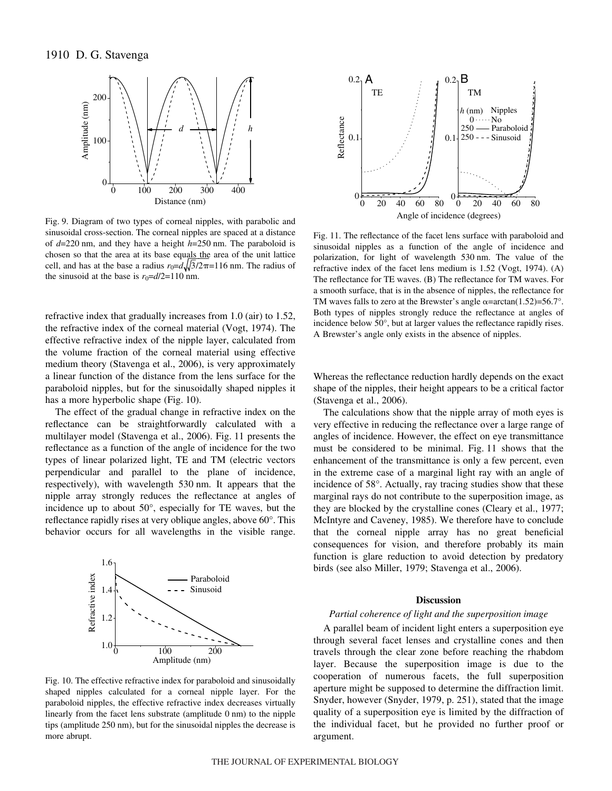

Fig. 9. Diagram of two types of corneal nipples, with parabolic and sinusoidal cross-section. The corneal nipples are spaced at a distance of  $d=220$  nm, and they have a height  $h=250$  nm. The paraboloid is chosen so that the area at its base equals the area of the unit lattice<br> $\frac{1}{\sqrt{5}}$ chosen so that the area at its base equals the area of the unit lattice cell, and has at the base a radius  $r_0 = d\sqrt{3}/2\pi = 116$  nm. The radius of the sinusoid at the base is  $r_0 = d/2 = 110$  nm.

refractive index that gradually increases from 1.0 (air) to 1.52, the refractive index of the corneal material (Vogt, 1974). The effective refractive index of the nipple layer, calculated from the volume fraction of the corneal material using effective medium theory (Stavenga et al., 2006), is very approximately a linear function of the distance from the lens surface for the paraboloid nipples, but for the sinusoidally shaped nipples it has a more hyperbolic shape (Fig. 10).

The effect of the gradual change in refractive index on the reflectance can be straightforwardly calculated with a multilayer model (Stavenga et al., 2006). Fig. 11 presents the reflectance as a function of the angle of incidence for the two types of linear polarized light, TE and TM (electric vectors perpendicular and parallel to the plane of incidence, respectively), with wavelength 530 nm. It appears that the nipple array strongly reduces the reflectance at angles of incidence up to about 50°, especially for TE waves, but the reflectance rapidly rises at very oblique angles, above 60°. This behavior occurs for all wavelengths in the visible range.



Fig. 10. The effective refractive index for paraboloid and sinusoidally shaped nipples calculated for a corneal nipple layer. For the paraboloid nipples, the effective refractive index decreases virtually linearly from the facet lens substrate (amplitude  $0$  nm) to the nipple tips (amplitude 250 nm), but for the sinusoidal nipples the decrease is more abrupt.



Fig. 11. The reflectance of the facet lens surface with paraboloid and sinusoidal nipples as a function of the angle of incidence and polarization, for light of wavelength 530 nm. The value of the refractive index of the facet lens medium is 1.52 (Vogt, 1974). (A) The reflectance for TE waves. (B) The reflectance for TM waves. For a smooth surface, that is in the absence of nipples, the reflectance for TM waves falls to zero at the Brewster's angle  $\alpha$ =arctan(1.52)=56.7°. Both types of nipples strongly reduce the reflectance at angles of incidence below 50°, but at larger values the reflectance rapidly rises. A Brewster's angle only exists in the absence of nipples.

Whereas the reflectance reduction hardly depends on the exact shape of the nipples, their height appears to be a critical factor (Stavenga et al., 2006).

The calculations show that the nipple array of moth eyes is very effective in reducing the reflectance over a large range of angles of incidence. However, the effect on eye transmittance must be considered to be minimal. Fig. 11 shows that the enhancement of the transmittance is only a few percent, even in the extreme case of a marginal light ray with an angle of incidence of 58°. Actually, ray tracing studies show that these marginal rays do not contribute to the superposition image, as they are blocked by the crystalline cones (Cleary et al., 1977; McIntyre and Caveney, 1985). We therefore have to conclude that the corneal nipple array has no great beneficial consequences for vision, and therefore probably its main function is glare reduction to avoid detection by predatory birds (see also Miller, 1979; Stavenga et al., 2006).

#### **Discussion**

### *Partial coherence of light and the superposition image*

A parallel beam of incident light enters a superposition eye through several facet lenses and crystalline cones and then travels through the clear zone before reaching the rhabdom layer. Because the superposition image is due to the cooperation of numerous facets, the full superposition aperture might be supposed to determine the diffraction limit. Snyder, however (Snyder, 1979, p. 251), stated that the image quality of a superposition eye is limited by the diffraction of the individual facet, but he provided no further proof or argument.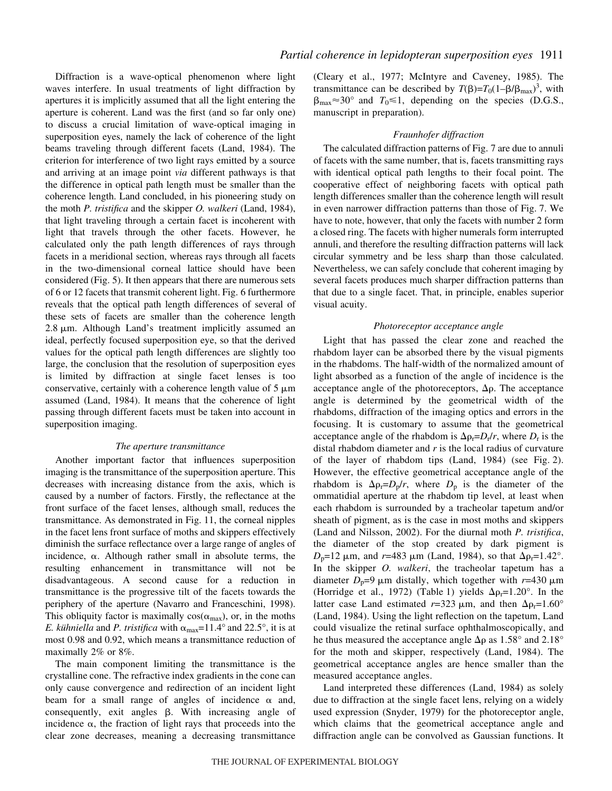Diffraction is a wave-optical phenomenon where light waves interfere. In usual treatments of light diffraction by apertures it is implicitly assumed that all the light entering the aperture is coherent. Land was the first (and so far only one) to discuss a crucial limitation of wave-optical imaging in superposition eyes, namely the lack of coherence of the light beams traveling through different facets (Land, 1984). The criterion for interference of two light rays emitted by a source and arriving at an image point *via* different pathways is that the difference in optical path length must be smaller than the coherence length. Land concluded, in his pioneering study on the moth *P. tristifica* and the skipper *O. walkeri* (Land, 1984), that light traveling through a certain facet is incoherent with light that travels through the other facets. However, he calculated only the path length differences of rays through facets in a meridional section, whereas rays through all facets in the two-dimensional corneal lattice should have been considered (Fig. 5). It then appears that there are numerous sets of 6 or 12 facets that transmit coherent light. Fig. 6 furthermore reveals that the optical path length differences of several of these sets of facets are smaller than the coherence length  $2.8~\mu$ m. Although Land's treatment implicitly assumed an ideal, perfectly focused superposition eye, so that the derived values for the optical path length differences are slightly too large, the conclusion that the resolution of superposition eyes is limited by diffraction at single facet lenses is too conservative, certainly with a coherence length value of  $5 \mu m$ assumed (Land, 1984). It means that the coherence of light passing through different facets must be taken into account in superposition imaging.

#### *The aperture transmittance*

Another important factor that influences superposition imaging is the transmittance of the superposition aperture. This decreases with increasing distance from the axis, which is caused by a number of factors. Firstly, the reflectance at the front surface of the facet lenses, although small, reduces the transmittance. As demonstrated in Fig. 11, the corneal nipples in the facet lens front surface of moths and skippers effectively diminish the surface reflectance over a large range of angles of incidence,  $\alpha$ . Although rather small in absolute terms, the resulting enhancement in transmittance will not be disadvantageous. A second cause for a reduction in transmittance is the progressive tilt of the facets towards the periphery of the aperture (Navarro and Franceschini, 1998). This obliquity factor is maximally  $cos(\alpha_{max})$ , or, in the moths *E. kühniella* and *P. tristifica* with  $\alpha_{\text{max}}$ =11.4° and 22.5°, it is at most 0.98 and 0.92, which means a transmittance reduction of maximally 2% or 8%.

The main component limiting the transmittance is the crystalline cone. The refractive index gradients in the cone can only cause convergence and redirection of an incident light beam for a small range of angles of incidence  $\alpha$  and, consequently, exit angles  $\beta$ . With increasing angle of incidence  $\alpha$ , the fraction of light rays that proceeds into the clear zone decreases, meaning a decreasing transmittance

(Cleary et al., 1977; McIntyre and Caveney, 1985). The transmittance can be described by  $T(\beta)=T_0(1-\beta/\beta_{\text{max}})^3$ , with  $\beta_{\text{max}} \approx 30^{\circ}$  and  $T_0 \le 1$ , depending on the species (D.G.S., manuscript in preparation).

## *Fraunhofer diffraction*

The calculated diffraction patterns of Fig. 7 are due to annuli of facets with the same number, that is, facets transmitting rays with identical optical path lengths to their focal point. The cooperative effect of neighboring facets with optical path length differences smaller than the coherence length will result in even narrower diffraction patterns than those of Fig. 7. We have to note, however, that only the facets with number 2 form a closed ring. The facets with higher numerals form interrupted annuli, and therefore the resulting diffraction patterns will lack circular symmetry and be less sharp than those calculated. Nevertheless, we can safely conclude that coherent imaging by several facets produces much sharper diffraction patterns than that due to a single facet. That, in principle, enables superior visual acuity.

#### *Photoreceptor acceptance angle*

Light that has passed the clear zone and reached the rhabdom layer can be absorbed there by the visual pigments in the rhabdoms. The half-width of the normalized amount of light absorbed as a function of the angle of incidence is the acceptance angle of the photoreceptors,  $\Delta \rho$ . The acceptance angle is determined by the geometrical width of the rhabdoms, diffraction of the imaging optics and errors in the focusing. It is customary to assume that the geometrical acceptance angle of the rhabdom is  $\Delta \rho_r = D_r/r$ , where  $D_r$  is the distal rhabdom diameter and *r* is the local radius of curvature of the layer of rhabdom tips (Land, 1984) (see Fig. 2). However, the effective geometrical acceptance angle of the rhabdom is  $\Delta \rho_r = D_p/r$ , where  $D_p$  is the diameter of the ommatidial aperture at the rhabdom tip level, at least when each rhabdom is surrounded by a tracheolar tapetum and/or sheath of pigment, as is the case in most moths and skippers (Land and Nilsson, 2002). For the diurnal moth *P. tristifica*, the diameter of the stop created by dark pigment is  $D_{p}=12 \mu m$ , and *r*=483  $\mu$ m (Land, 1984), so that  $\Delta \rho_{r}=1.42^{\circ}$ . In the skipper *O. walkeri*, the tracheolar tapetum has a diameter  $D_p=9 \mu m$  distally, which together with  $r=430 \mu m$ (Horridge et al., 1972) (Table 1) yields  $\Delta \rho_r = 1.20^\circ$ . In the latter case Land estimated  $r=323 \mu m$ , and then  $\Delta \rho_r=1.60^\circ$ (Land, 1984). Using the light reflection on the tapetum, Land could visualize the retinal surface ophthalmoscopically, and he thus measured the acceptance angle  $\Delta \rho$  as 1.58° and 2.18° for the moth and skipper, respectively (Land, 1984). The geometrical acceptance angles are hence smaller than the measured acceptance angles.

Land interpreted these differences (Land, 1984) as solely due to diffraction at the single facet lens, relying on a widely used expression (Snyder, 1979) for the photoreceptor angle, which claims that the geometrical acceptance angle and diffraction angle can be convolved as Gaussian functions. It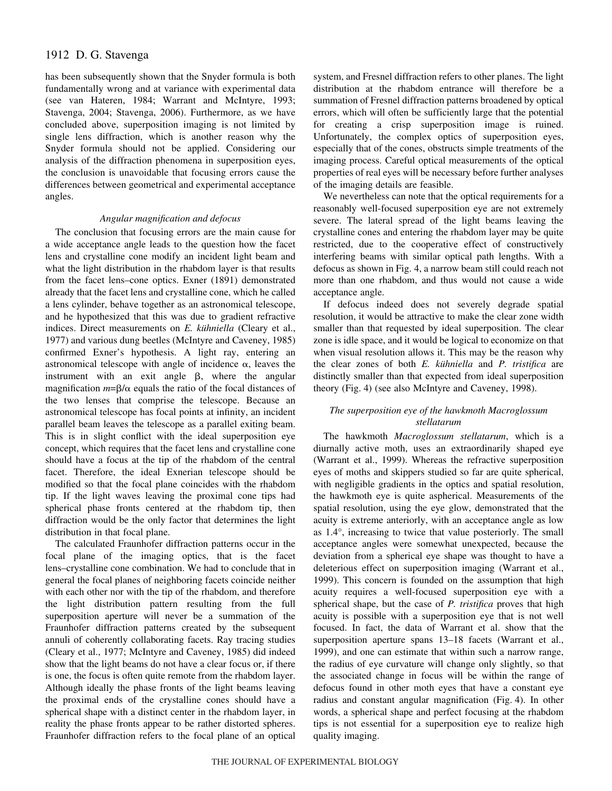# 1912 D. G. Stavenga

has been subsequently shown that the Snyder formula is both fundamentally wrong and at variance with experimental data (see van Hateren, 1984; Warrant and McIntyre, 1993; Stavenga, 2004; Stavenga, 2006). Furthermore, as we have concluded above, superposition imaging is not limited by single lens diffraction, which is another reason why the Snyder formula should not be applied. Considering our analysis of the diffraction phenomena in superposition eyes, the conclusion is unavoidable that focusing errors cause the differences between geometrical and experimental acceptance angles.

## *Angular magnification and defocus*

The conclusion that focusing errors are the main cause for a wide acceptance angle leads to the question how the facet lens and crystalline cone modify an incident light beam and what the light distribution in the rhabdom layer is that results from the facet lens–cone optics. Exner (1891) demonstrated already that the facet lens and crystalline cone, which he called a lens cylinder, behave together as an astronomical telescope, and he hypothesized that this was due to gradient refractive indices. Direct measurements on *E. kühniella* (Cleary et al., 1977) and various dung beetles (McIntyre and Caveney, 1985) confirmed Exner's hypothesis. A light ray, entering an astronomical telescope with angle of incidence  $\alpha$ , leaves the instrument with an exit angle  $\beta$ , where the angular magnification  $m = \beta/\alpha$  equals the ratio of the focal distances of the two lenses that comprise the telescope. Because an astronomical telescope has focal points at infinity, an incident parallel beam leaves the telescope as a parallel exiting beam. This is in slight conflict with the ideal superposition eye concept, which requires that the facet lens and crystalline cone should have a focus at the tip of the rhabdom of the central facet. Therefore, the ideal Exnerian telescope should be modified so that the focal plane coincides with the rhabdom tip. If the light waves leaving the proximal cone tips had spherical phase fronts centered at the rhabdom tip, then diffraction would be the only factor that determines the light distribution in that focal plane.

The calculated Fraunhofer diffraction patterns occur in the focal plane of the imaging optics, that is the facet lens–crystalline cone combination. We had to conclude that in general the focal planes of neighboring facets coincide neither with each other nor with the tip of the rhabdom, and therefore the light distribution pattern resulting from the full superposition aperture will never be a summation of the Fraunhofer diffraction patterns created by the subsequent annuli of coherently collaborating facets. Ray tracing studies (Cleary et al., 1977; McIntyre and Caveney, 1985) did indeed show that the light beams do not have a clear focus or, if there is one, the focus is often quite remote from the rhabdom layer. Although ideally the phase fronts of the light beams leaving the proximal ends of the crystalline cones should have a spherical shape with a distinct center in the rhabdom layer, in reality the phase fronts appear to be rather distorted spheres. Fraunhofer diffraction refers to the focal plane of an optical

system, and Fresnel diffraction refers to other planes. The light distribution at the rhabdom entrance will therefore be a summation of Fresnel diffraction patterns broadened by optical errors, which will often be sufficiently large that the potential for creating a crisp superposition image is ruined. Unfortunately, the complex optics of superposition eyes, especially that of the cones, obstructs simple treatments of the imaging process. Careful optical measurements of the optical properties of real eyes will be necessary before further analyses of the imaging details are feasible.

We nevertheless can note that the optical requirements for a reasonably well-focused superposition eye are not extremely severe. The lateral spread of the light beams leaving the crystalline cones and entering the rhabdom layer may be quite restricted, due to the cooperative effect of constructively interfering beams with similar optical path lengths. With a defocus as shown in Fig. 4, a narrow beam still could reach not more than one rhabdom, and thus would not cause a wide acceptance angle.

If defocus indeed does not severely degrade spatial resolution, it would be attractive to make the clear zone width smaller than that requested by ideal superposition. The clear zone is idle space, and it would be logical to economize on that when visual resolution allows it. This may be the reason why the clear zones of both *E. kühniella* and *P. tristifica* are distinctly smaller than that expected from ideal superposition theory (Fig. 4) (see also McIntyre and Caveney, 1998).

# *The superposition eye of the hawkmoth Macroglossum stellatarum*

The hawkmoth *Macroglossum stellatarum*, which is a diurnally active moth, uses an extraordinarily shaped eye (Warrant et al., 1999). Whereas the refractive superposition eyes of moths and skippers studied so far are quite spherical, with negligible gradients in the optics and spatial resolution, the hawkmoth eye is quite aspherical. Measurements of the spatial resolution, using the eye glow, demonstrated that the acuity is extreme anteriorly, with an acceptance angle as low as 1.4°, increasing to twice that value posteriorly. The small acceptance angles were somewhat unexpected, because the deviation from a spherical eye shape was thought to have a deleterious effect on superposition imaging (Warrant et al., 1999). This concern is founded on the assumption that high acuity requires a well-focused superposition eye with a spherical shape, but the case of *P. tristifica* proves that high acuity is possible with a superposition eye that is not well focused. In fact, the data of Warrant et al. show that the superposition aperture spans 13–18 facets (Warrant et al., 1999), and one can estimate that within such a narrow range, the radius of eye curvature will change only slightly, so that the associated change in focus will be within the range of defocus found in other moth eyes that have a constant eye radius and constant angular magnification (Fig. 4). In other words, a spherical shape and perfect focusing at the rhabdom tips is not essential for a superposition eye to realize high quality imaging.